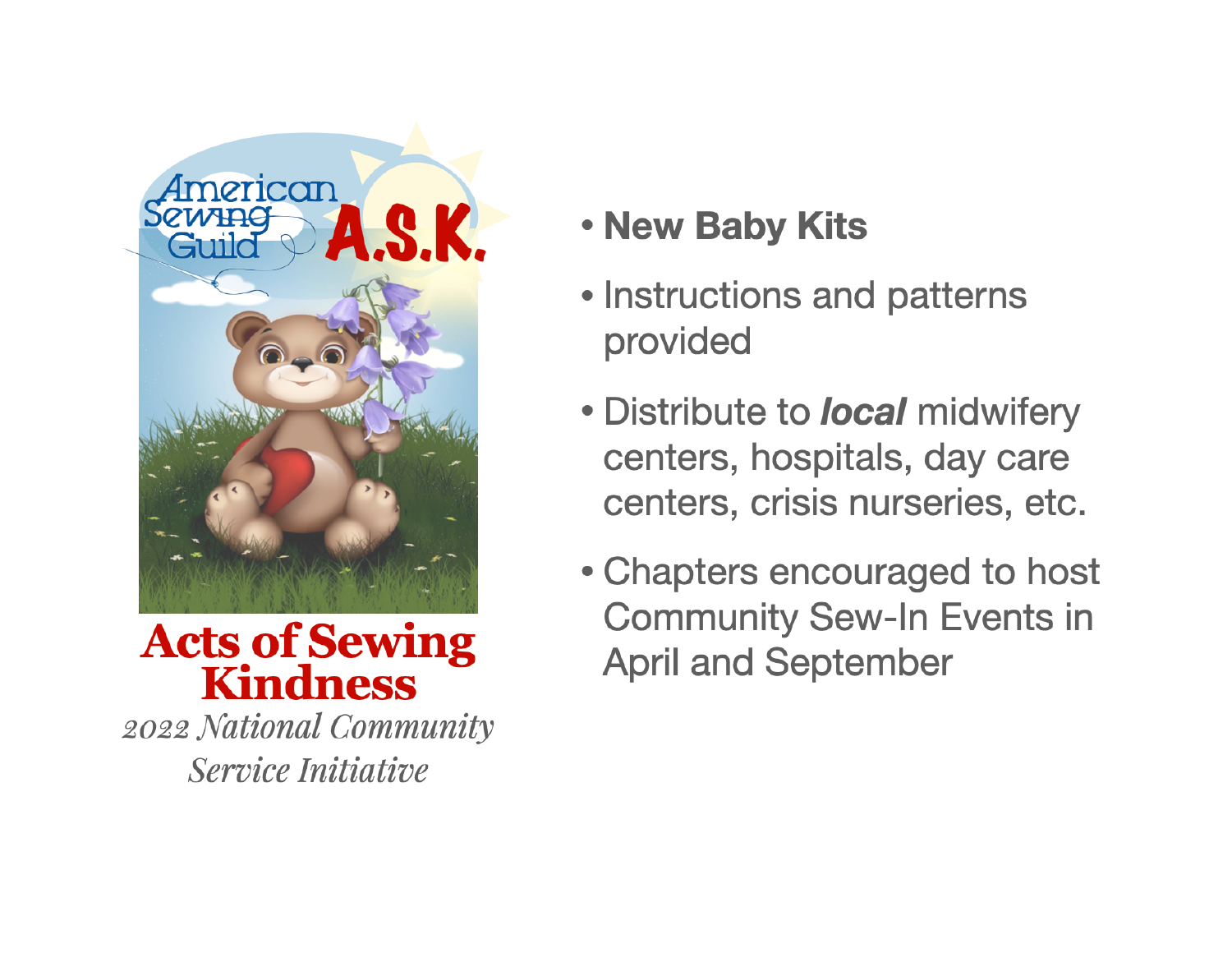

**Acts of Sewing Kindness** 

2022 National Community Service Initiative

# . New Baby Kits

- Instructions and patterns provided
- Distribute to *local* midwifery centers, hospitals, day care centers, crisis nurseries, etc.
- Chapters encouraged to host **Community Sew-In Events in April and September**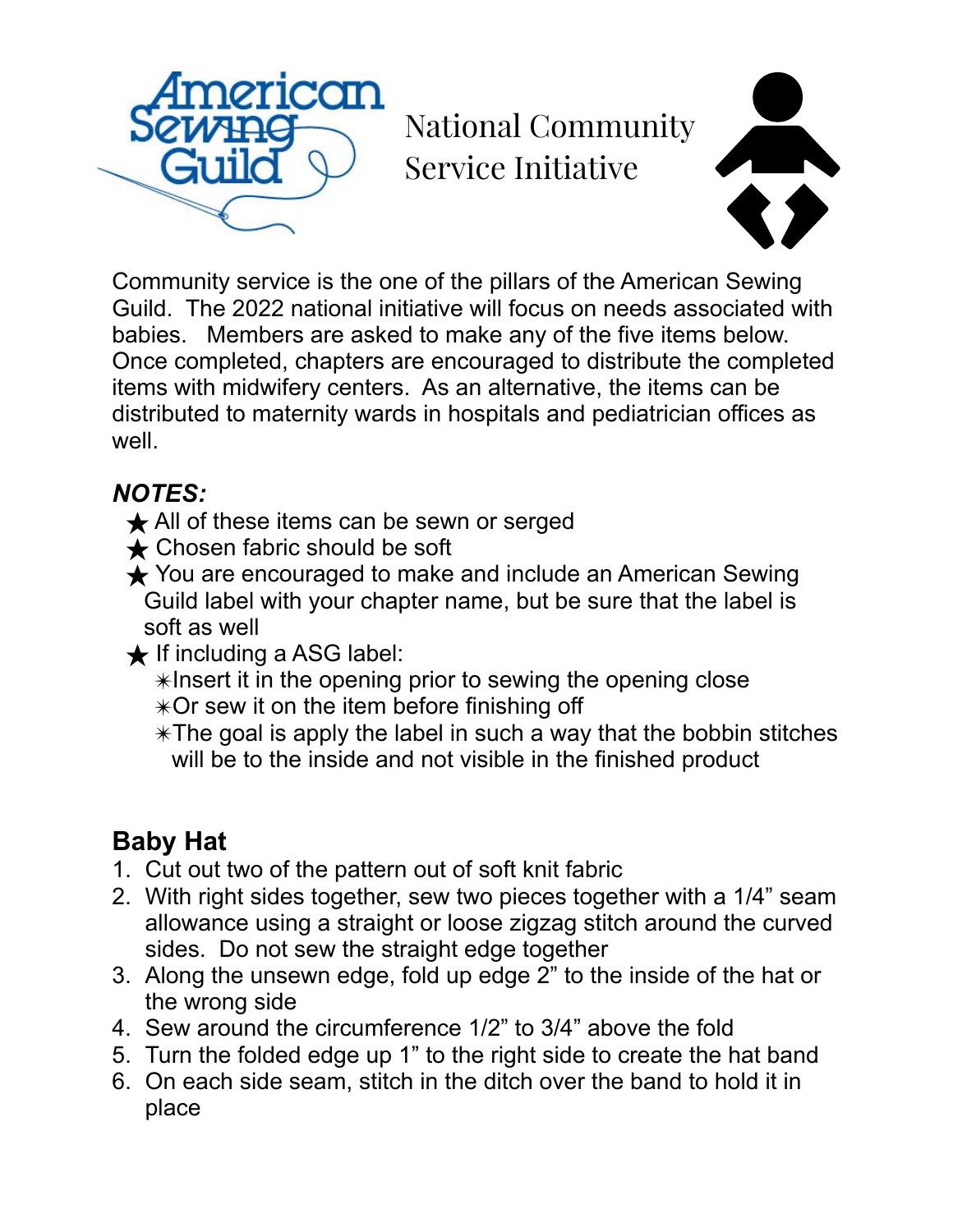

National Community Service Initiative



Community service is the one of the pillars of the American Sewing Guild. The 2022 national initiative will focus on needs associated with babies. Members are asked to make any of the five items below. Once completed, chapters are encouraged to distribute the completed items with midwifery centers. As an alternative, the items can be distributed to maternity wards in hospitals and pediatrician offices as well.

#### *NOTES:*

- **★ All of these items can be sewn or serged**
- **★ Chosen fabric should be soft**
- **★** You are encouraged to make and include an American Sewing Guild label with your chapter name, but be sure that the label is soft as well
- $\bigstar$  If including a ASG label:
	- ✴Insert it in the opening prior to sewing the opening close
	- ✴Or sew it on the item before finishing off
	- $*$ The goal is apply the label in such a way that the bobbin stitches will be to the inside and not visible in the finished product

## **Baby Hat**

- 1. Cut out two of the pattern out of soft knit fabric
- 2. With right sides together, sew two pieces together with a 1/4" seam allowance using a straight or loose zigzag stitch around the curved sides. Do not sew the straight edge together
- 3. Along the unsewn edge, fold up edge 2" to the inside of the hat or the wrong side
- 4. Sew around the circumference 1/2" to 3/4" above the fold
- 5. Turn the folded edge up 1" to the right side to create the hat band
- 6. On each side seam, stitch in the ditch over the band to hold it in place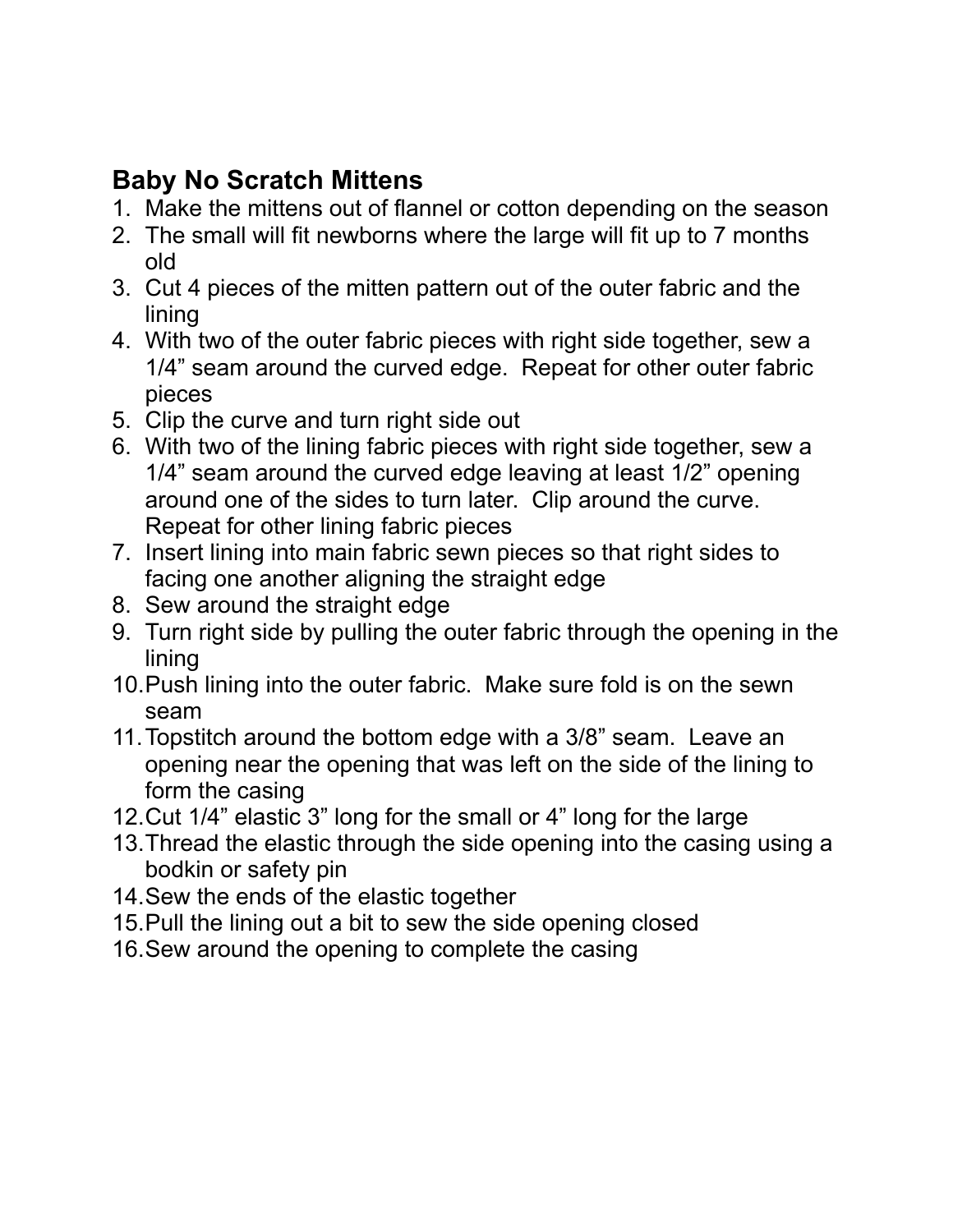#### **Baby No Scratch Mittens**

- 1. Make the mittens out of flannel or cotton depending on the season
- 2. The small will fit newborns where the large will fit up to 7 months old
- 3. Cut 4 pieces of the mitten pattern out of the outer fabric and the lining
- 4. With two of the outer fabric pieces with right side together, sew a 1/4" seam around the curved edge. Repeat for other outer fabric pieces
- 5. Clip the curve and turn right side out
- 6. With two of the lining fabric pieces with right side together, sew a 1/4" seam around the curved edge leaving at least 1/2" opening around one of the sides to turn later. Clip around the curve. Repeat for other lining fabric pieces
- 7. Insert lining into main fabric sewn pieces so that right sides to facing one another aligning the straight edge
- 8. Sew around the straight edge
- 9. Turn right side by pulling the outer fabric through the opening in the lining
- 10.Push lining into the outer fabric. Make sure fold is on the sewn seam
- 11.Topstitch around the bottom edge with a 3/8" seam. Leave an opening near the opening that was left on the side of the lining to form the casing
- 12.Cut 1/4" elastic 3" long for the small or 4" long for the large
- 13.Thread the elastic through the side opening into the casing using a bodkin or safety pin
- 14.Sew the ends of the elastic together
- 15.Pull the lining out a bit to sew the side opening closed
- 16.Sew around the opening to complete the casing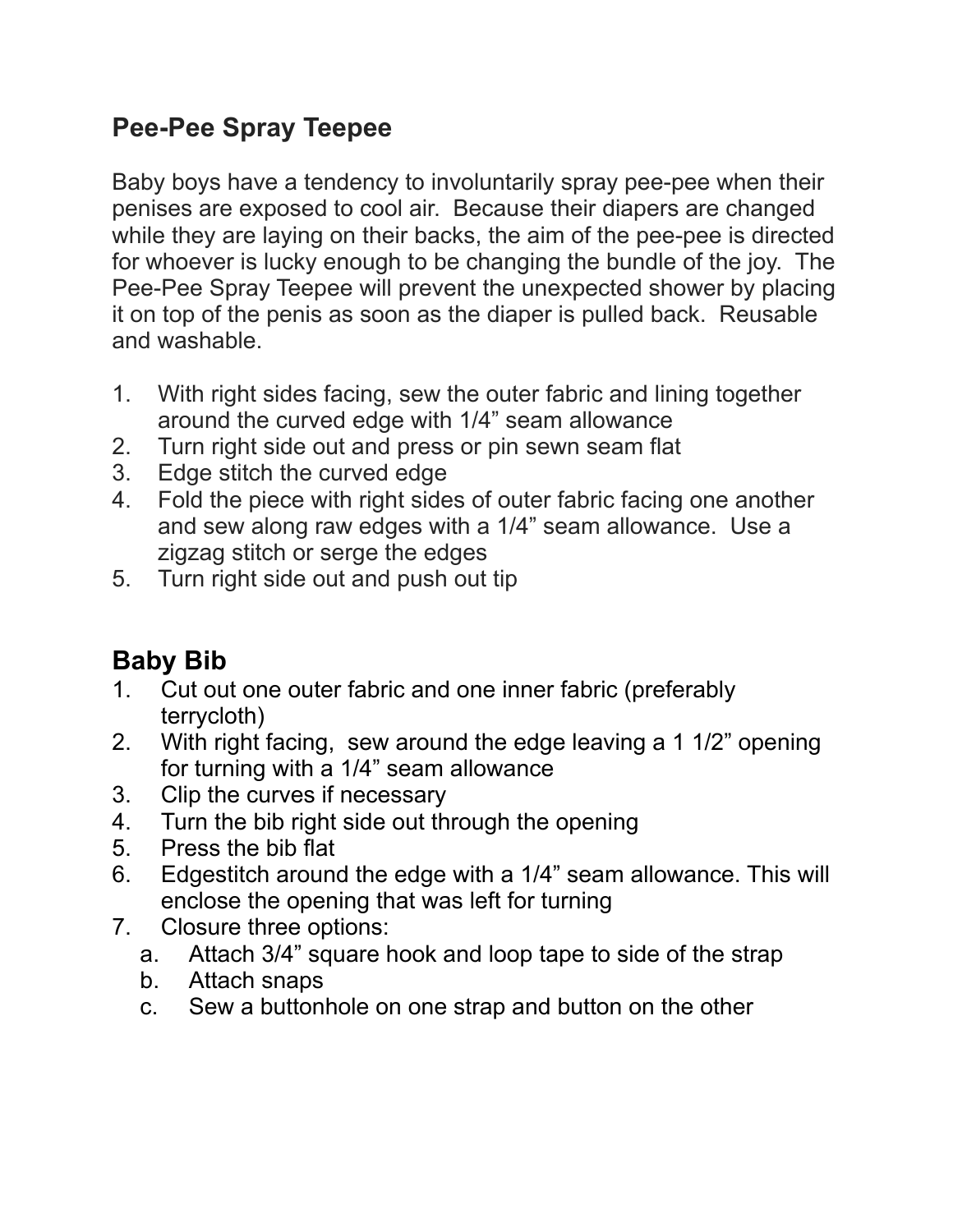#### **Pee-Pee Spray Teepee**

Baby boys have a tendency to involuntarily spray pee-pee when their penises are exposed to cool air. Because their diapers are changed while they are laying on their backs, the aim of the pee-pee is directed for whoever is lucky enough to be changing the bundle of the joy. The Pee-Pee Spray Teepee will prevent the unexpected shower by placing it on top of the penis as soon as the diaper is pulled back. Reusable and washable.

- 1. With right sides facing, sew the outer fabric and lining together around the curved edge with 1/4" seam allowance
- 2. Turn right side out and press or pin sewn seam flat
- 3. Edge stitch the curved edge
- 4. Fold the piece with right sides of outer fabric facing one another and sew along raw edges with a 1/4" seam allowance. Use a zigzag stitch or serge the edges
- 5. Turn right side out and push out tip

## **Baby Bib**

- 1. Cut out one outer fabric and one inner fabric (preferably terrycloth)
- 2. With right facing, sew around the edge leaving a 1 1/2" opening for turning with a 1/4" seam allowance
- 3. Clip the curves if necessary
- 4. Turn the bib right side out through the opening
- 5. Press the bib flat
- 6. Edgestitch around the edge with a 1/4" seam allowance. This will enclose the opening that was left for turning
- 7. Closure three options:
	- a. Attach 3/4" square hook and loop tape to side of the strap
	- b. Attach snaps
	- c. Sew a buttonhole on one strap and button on the other